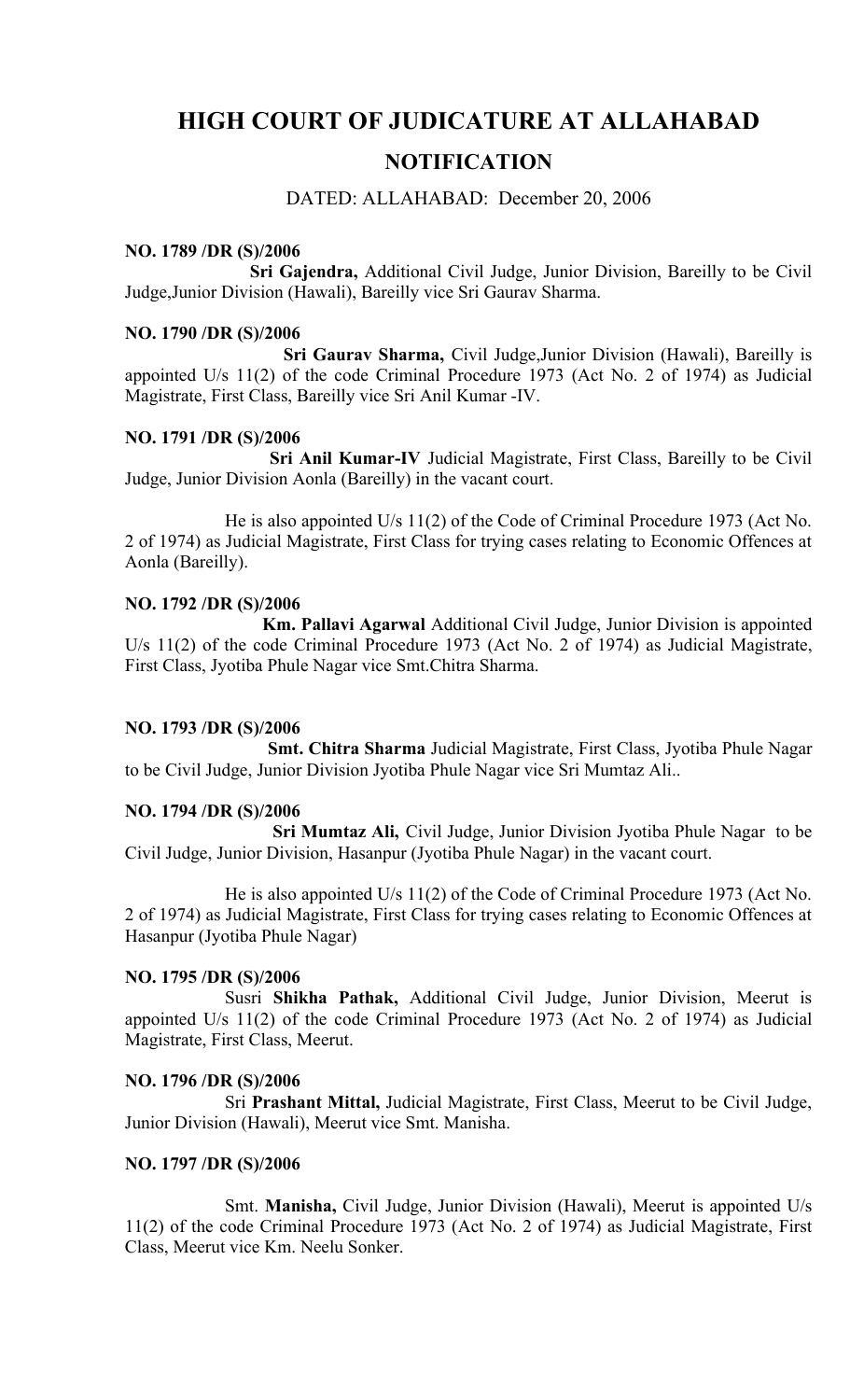# **HIGH COURT OF JUDICATURE AT ALLAHABAD**

# **NOTIFICATION**

## DATED: ALLAHABAD: December 20, 2006

#### **NO. 1789 /DR (S)/2006**

**Sri Gajendra,** Additional Civil Judge, Junior Division, Bareilly to be Civil Judge,Junior Division (Hawali), Bareilly vice Sri Gaurav Sharma.

#### **NO. 1790 /DR (S)/2006**

**Sri Gaurav Sharma,** Civil Judge,Junior Division (Hawali), Bareilly is appointed U/s 11(2) of the code Criminal Procedure 1973 (Act No. 2 of 1974) as Judicial Magistrate, First Class, Bareilly vice Sri Anil Kumar -IV.

#### **NO. 1791 /DR (S)/2006**

**Sri Anil Kumar-IV** Judicial Magistrate, First Class, Bareilly to be Civil Judge, Junior Division Aonla (Bareilly) in the vacant court.

He is also appointed U/s 11(2) of the Code of Criminal Procedure 1973 (Act No. 2 of 1974) as Judicial Magistrate, First Class for trying cases relating to Economic Offences at Aonla (Bareilly).

#### **NO. 1792 /DR (S)/2006**

**Km. Pallavi Agarwal** Additional Civil Judge, Junior Division is appointed U/s 11(2) of the code Criminal Procedure 1973 (Act No. 2 of 1974) as Judicial Magistrate, First Class, Jyotiba Phule Nagar vice Smt.Chitra Sharma.

### **NO. 1793 /DR (S)/2006**

**Smt. Chitra Sharma** Judicial Magistrate, First Class, Jyotiba Phule Nagar to be Civil Judge, Junior Division Jyotiba Phule Nagar vice Sri Mumtaz Ali..

#### **NO. 1794 /DR (S)/2006**

**Sri Mumtaz Ali,** Civil Judge, Junior Division Jyotiba Phule Nagar to be Civil Judge, Junior Division, Hasanpur (Jyotiba Phule Nagar) in the vacant court.

He is also appointed U/s 11(2) of the Code of Criminal Procedure 1973 (Act No. 2 of 1974) as Judicial Magistrate, First Class for trying cases relating to Economic Offences at Hasanpur (Jyotiba Phule Nagar)

#### **NO. 1795 /DR (S)/2006**

Susri **Shikha Pathak,** Additional Civil Judge, Junior Division, Meerut is appointed U/s 11(2) of the code Criminal Procedure 1973 (Act No. 2 of 1974) as Judicial Magistrate, First Class, Meerut.

#### **NO. 1796 /DR (S)/2006**

Sri **Prashant Mittal,** Judicial Magistrate, First Class, Meerut to be Civil Judge, Junior Division (Hawali), Meerut vice Smt. Manisha.

#### **NO. 1797 /DR (S)/2006**

Smt. **Manisha,** Civil Judge, Junior Division (Hawali), Meerut is appointed U/s 11(2) of the code Criminal Procedure 1973 (Act No. 2 of 1974) as Judicial Magistrate, First Class, Meerut vice Km. Neelu Sonker.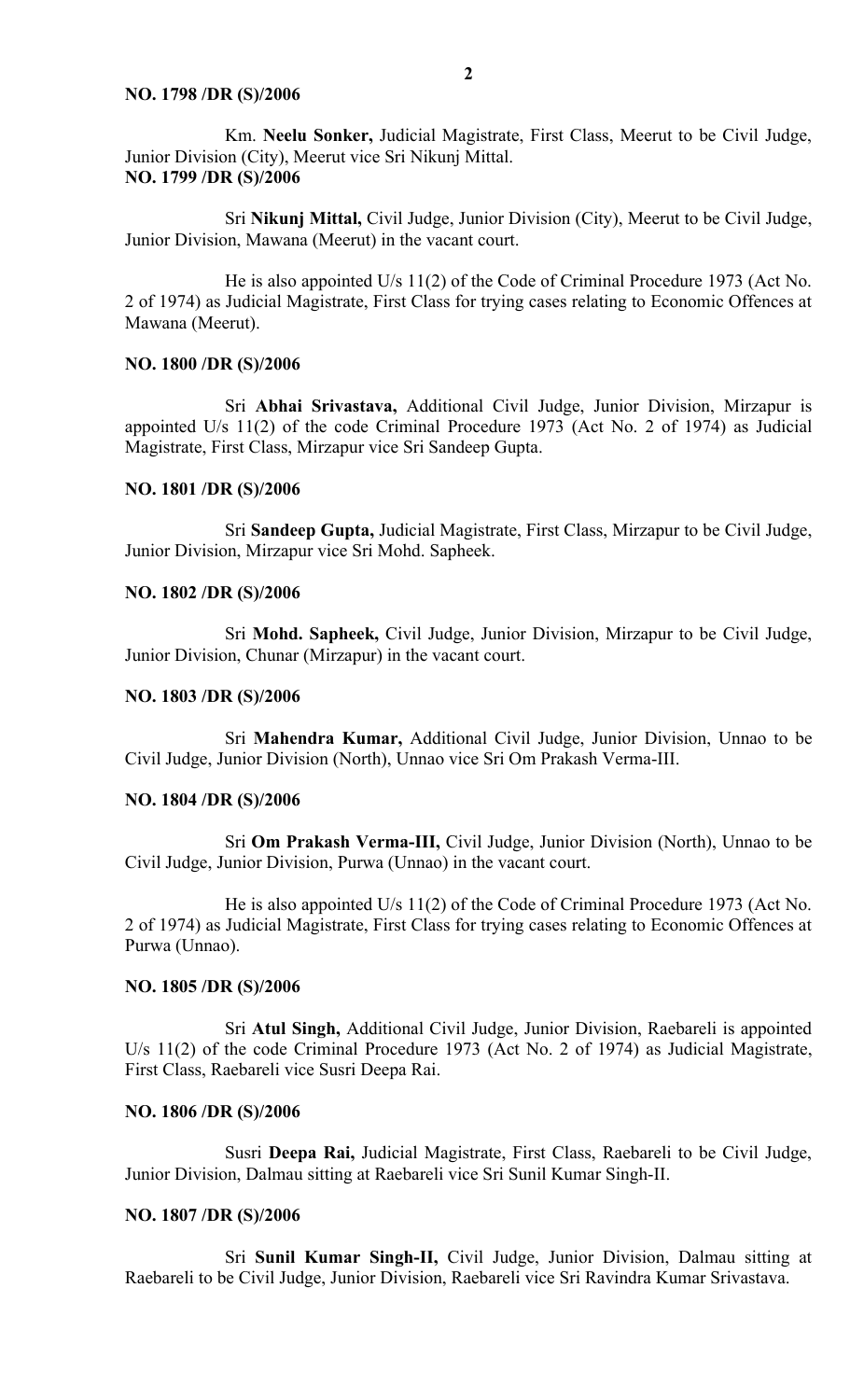#### **NO. 1798 /DR (S)/2006**

Km. **Neelu Sonker,** Judicial Magistrate, First Class, Meerut to be Civil Judge, Junior Division (City), Meerut vice Sri Nikunj Mittal. **NO. 1799 /DR (S)/2006**

Sri **Nikunj Mittal,** Civil Judge, Junior Division (City), Meerut to be Civil Judge, Junior Division, Mawana (Meerut) in the vacant court.

He is also appointed U/s 11(2) of the Code of Criminal Procedure 1973 (Act No. 2 of 1974) as Judicial Magistrate, First Class for trying cases relating to Economic Offences at Mawana (Meerut).

#### **NO. 1800 /DR (S)/2006**

Sri **Abhai Srivastava,** Additional Civil Judge, Junior Division, Mirzapur is appointed U/s 11(2) of the code Criminal Procedure 1973 (Act No. 2 of 1974) as Judicial Magistrate, First Class, Mirzapur vice Sri Sandeep Gupta.

#### **NO. 1801 /DR (S)/2006**

Sri **Sandeep Gupta,** Judicial Magistrate, First Class, Mirzapur to be Civil Judge, Junior Division, Mirzapur vice Sri Mohd. Sapheek.

#### **NO. 1802 /DR (S)/2006**

Sri **Mohd. Sapheek,** Civil Judge, Junior Division, Mirzapur to be Civil Judge, Junior Division, Chunar (Mirzapur) in the vacant court.

#### **NO. 1803 /DR (S)/2006**

Sri **Mahendra Kumar,** Additional Civil Judge, Junior Division, Unnao to be Civil Judge, Junior Division (North), Unnao vice Sri Om Prakash Verma-III.

#### **NO. 1804 /DR (S)/2006**

Sri **Om Prakash Verma-III,** Civil Judge, Junior Division (North), Unnao to be Civil Judge, Junior Division, Purwa (Unnao) in the vacant court.

He is also appointed U/s 11(2) of the Code of Criminal Procedure 1973 (Act No. 2 of 1974) as Judicial Magistrate, First Class for trying cases relating to Economic Offences at Purwa (Unnao).

#### **NO. 1805 /DR (S)/2006**

Sri **Atul Singh,** Additional Civil Judge, Junior Division, Raebareli is appointed U/s 11(2) of the code Criminal Procedure 1973 (Act No. 2 of 1974) as Judicial Magistrate, First Class, Raebareli vice Susri Deepa Rai.

#### **NO. 1806 /DR (S)/2006**

Susri **Deepa Rai,** Judicial Magistrate, First Class, Raebareli to be Civil Judge, Junior Division, Dalmau sitting at Raebareli vice Sri Sunil Kumar Singh-II.

#### **NO. 1807 /DR (S)/2006**

Sri **Sunil Kumar Singh-II,** Civil Judge, Junior Division, Dalmau sitting at Raebareli to be Civil Judge, Junior Division, Raebareli vice Sri Ravindra Kumar Srivastava.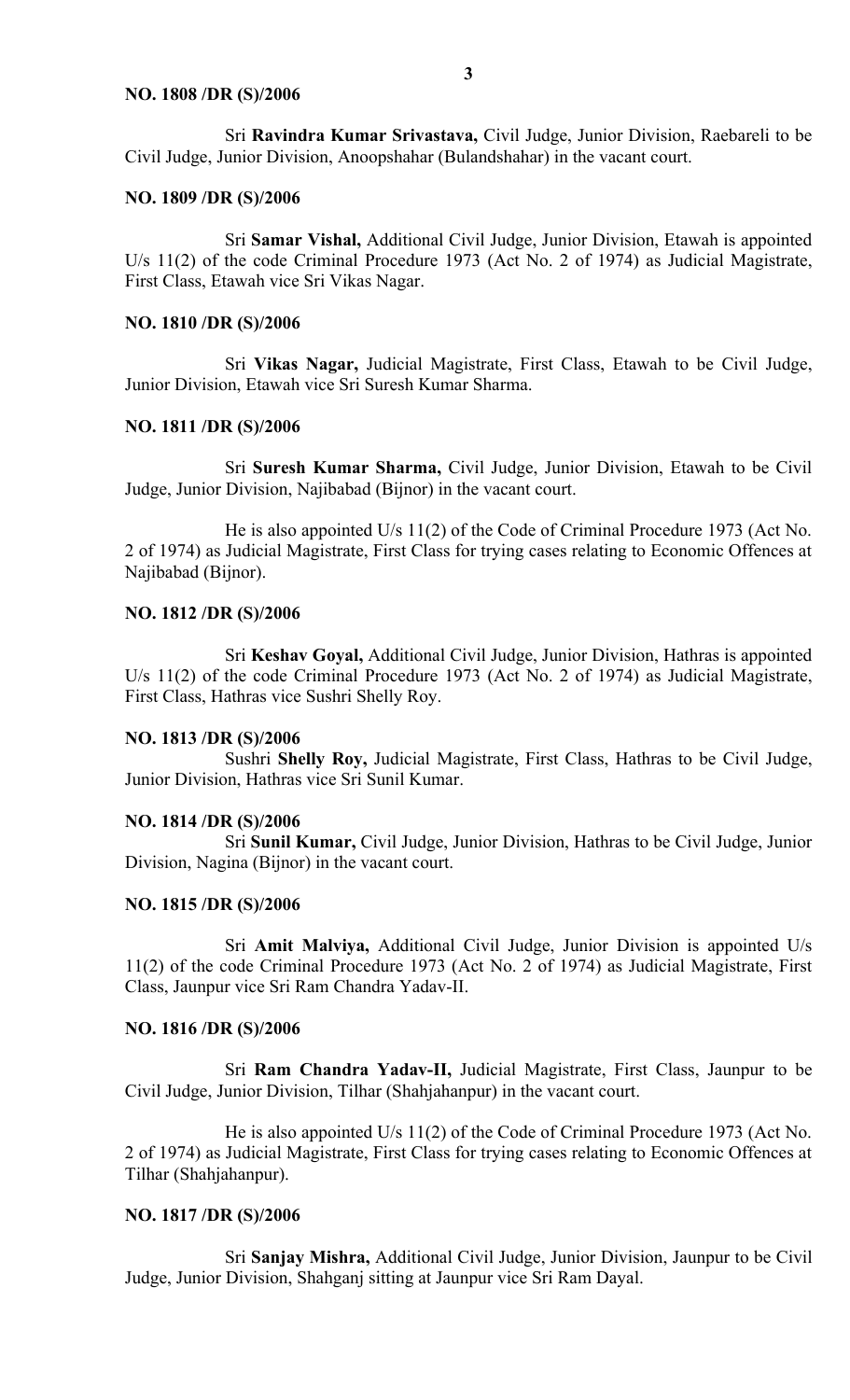#### **NO. 1808 /DR (S)/2006**

Sri **Ravindra Kumar Srivastava,** Civil Judge, Junior Division, Raebareli to be Civil Judge, Junior Division, Anoopshahar (Bulandshahar) in the vacant court.

#### **NO. 1809 /DR (S)/2006**

Sri **Samar Vishal,** Additional Civil Judge, Junior Division, Etawah is appointed U/s 11(2) of the code Criminal Procedure 1973 (Act No. 2 of 1974) as Judicial Magistrate, First Class, Etawah vice Sri Vikas Nagar.

#### **NO. 1810 /DR (S)/2006**

Sri **Vikas Nagar,** Judicial Magistrate, First Class, Etawah to be Civil Judge, Junior Division, Etawah vice Sri Suresh Kumar Sharma.

#### **NO. 1811 /DR (S)/2006**

Sri **Suresh Kumar Sharma,** Civil Judge, Junior Division, Etawah to be Civil Judge, Junior Division, Najibabad (Bijnor) in the vacant court.

He is also appointed U/s 11(2) of the Code of Criminal Procedure 1973 (Act No. 2 of 1974) as Judicial Magistrate, First Class for trying cases relating to Economic Offences at Najibabad (Bijnor).

#### **NO. 1812 /DR (S)/2006**

Sri **Keshav Goyal,** Additional Civil Judge, Junior Division, Hathras is appointed U/s 11(2) of the code Criminal Procedure 1973 (Act No. 2 of 1974) as Judicial Magistrate, First Class, Hathras vice Sushri Shelly Roy.

#### **NO. 1813 /DR (S)/2006**

Sushri **Shelly Roy,** Judicial Magistrate, First Class, Hathras to be Civil Judge, Junior Division, Hathras vice Sri Sunil Kumar.

#### **NO. 1814 /DR (S)/2006**

Sri **Sunil Kumar,** Civil Judge, Junior Division, Hathras to be Civil Judge, Junior Division, Nagina (Bijnor) in the vacant court.

#### **NO. 1815 /DR (S)/2006**

Sri **Amit Malviya,** Additional Civil Judge, Junior Division is appointed U/s 11(2) of the code Criminal Procedure 1973 (Act No. 2 of 1974) as Judicial Magistrate, First Class, Jaunpur vice Sri Ram Chandra Yadav-II.

#### **NO. 1816 /DR (S)/2006**

Sri **Ram Chandra Yadav-II,** Judicial Magistrate, First Class, Jaunpur to be Civil Judge, Junior Division, Tilhar (Shahjahanpur) in the vacant court.

He is also appointed U/s 11(2) of the Code of Criminal Procedure 1973 (Act No. 2 of 1974) as Judicial Magistrate, First Class for trying cases relating to Economic Offences at Tilhar (Shahjahanpur).

#### **NO. 1817 /DR (S)/2006**

Sri **Sanjay Mishra,** Additional Civil Judge, Junior Division, Jaunpur to be Civil Judge, Junior Division, Shahganj sitting at Jaunpur vice Sri Ram Dayal.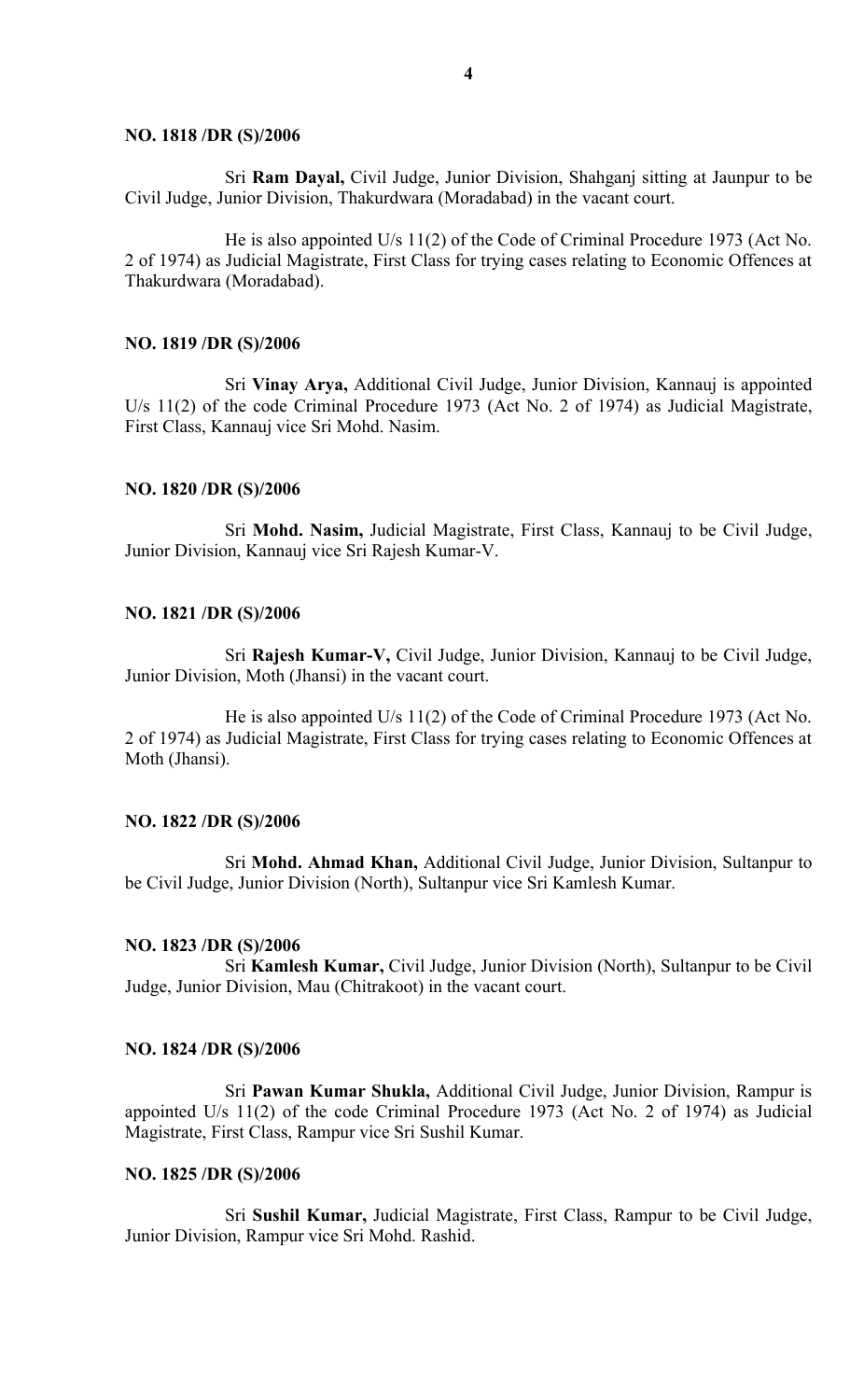#### **NO. 1818 /DR (S)/2006**

Sri **Ram Dayal,** Civil Judge, Junior Division, Shahganj sitting at Jaunpur to be Civil Judge, Junior Division, Thakurdwara (Moradabad) in the vacant court.

He is also appointed U/s 11(2) of the Code of Criminal Procedure 1973 (Act No. 2 of 1974) as Judicial Magistrate, First Class for trying cases relating to Economic Offences at Thakurdwara (Moradabad).

#### **NO. 1819 /DR (S)/2006**

Sri **Vinay Arya,** Additional Civil Judge, Junior Division, Kannauj is appointed U/s 11(2) of the code Criminal Procedure 1973 (Act No. 2 of 1974) as Judicial Magistrate, First Class, Kannauj vice Sri Mohd. Nasim.

#### **NO. 1820 /DR (S)/2006**

Sri **Mohd. Nasim,** Judicial Magistrate, First Class, Kannauj to be Civil Judge, Junior Division, Kannauj vice Sri Rajesh Kumar-V.

#### **NO. 1821 /DR (S)/2006**

Sri **Rajesh Kumar-V,** Civil Judge, Junior Division, Kannauj to be Civil Judge, Junior Division, Moth (Jhansi) in the vacant court.

He is also appointed U/s 11(2) of the Code of Criminal Procedure 1973 (Act No. 2 of 1974) as Judicial Magistrate, First Class for trying cases relating to Economic Offences at Moth (Jhansi).

#### **NO. 1822 /DR (S)/2006**

Sri **Mohd. Ahmad Khan,** Additional Civil Judge, Junior Division, Sultanpur to be Civil Judge, Junior Division (North), Sultanpur vice Sri Kamlesh Kumar.

#### **NO. 1823 /DR (S)/2006**

Sri **Kamlesh Kumar,** Civil Judge, Junior Division (North), Sultanpur to be Civil Judge, Junior Division, Mau (Chitrakoot) in the vacant court.

#### **NO. 1824 /DR (S)/2006**

Sri **Pawan Kumar Shukla,** Additional Civil Judge, Junior Division, Rampur is appointed U/s 11(2) of the code Criminal Procedure 1973 (Act No. 2 of 1974) as Judicial Magistrate, First Class, Rampur vice Sri Sushil Kumar.

#### **NO. 1825 /DR (S)/2006**

Sri **Sushil Kumar,** Judicial Magistrate, First Class, Rampur to be Civil Judge, Junior Division, Rampur vice Sri Mohd. Rashid.